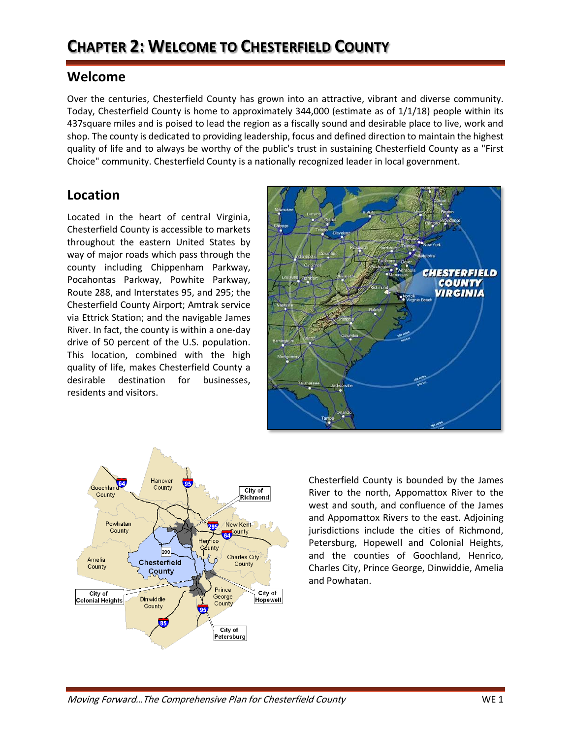## **CHAPTER 2: WELCOME TO CHESTERFIELD COUNTY**

## **Welcome**

Over the centuries, Chesterfield County has grown into an attractive, vibrant and diverse community. Today, Chesterfield County is home to approximately 344,000 (estimate as of 1/1/18) people within its 437square miles and is poised to lead the region as a fiscally sound and desirable place to live, work and shop. The county is dedicated to providing leadership, focus and defined direction to maintain the highest quality of life and to always be worthy of the public's trust in sustaining Chesterfield County as a "First Choice" community. Chesterfield County is a nationally recognized leader in local government.

## **Location**

Located in the heart of central Virginia, Chesterfield County is accessible to markets throughout the eastern United States by way of major roads which pass through the county including Chippenham Parkway, Pocahontas Parkway, Powhite Parkway, Route 288, and Interstates 95, and 295; the Chesterfield County Airport; Amtrak service via Ettrick Station; and the navigable James River. In fact, the county is within a one-day drive of 50 percent of the U.S. population. This location, combined with the high quality of life, makes Chesterfield County a desirable destination for businesses, residents and visitors.





Chesterfield County is bounded by the James River to the north, Appomattox River to the west and south, and confluence of the James and Appomattox Rivers to the east. Adjoining jurisdictions include the cities of Richmond, Petersburg, Hopewell and Colonial Heights, and the counties of Goochland, Henrico, Charles City, Prince George, Dinwiddie, Amelia and Powhatan.